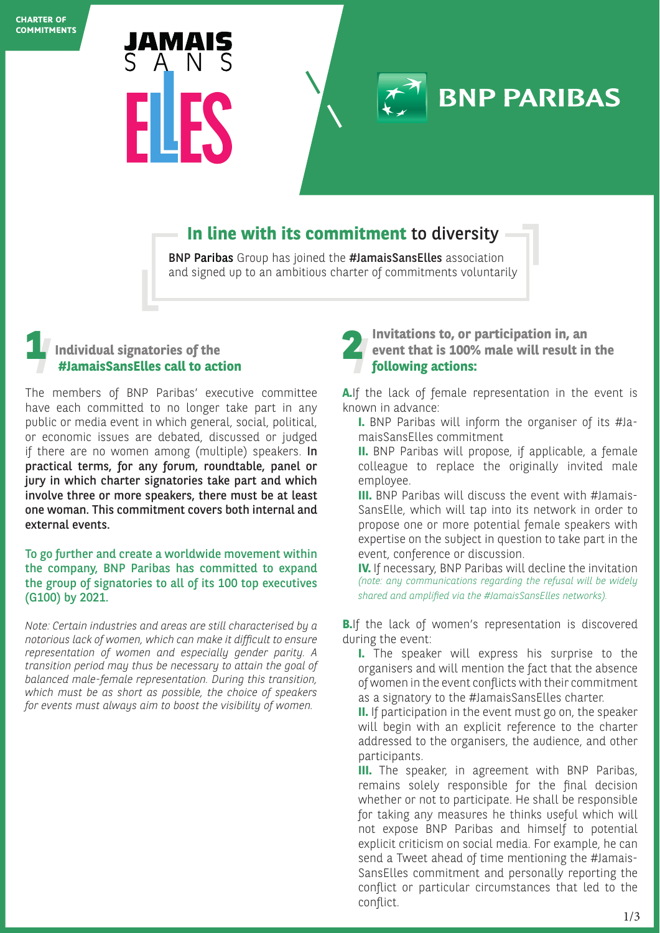

# **In line with its commitment** to diversity

BNP Paribas Group has joined the #JamaisSansElles association and signed up to an ambitious charter of commitments voluntarily

### **Individual signatories of the #JamaisSansElles call to action 1 2**

The members of BNP Paribas' executive committee have each committed to no longer take part in any public or media event in which general, social, political, or economic issues are debated, discussed or judged if there are no women among (multiple) speakers. In practical terms, for any forum, roundtable, panel or jury in which charter signatories take part and which involve three or more speakers, there must be at least one woman. This commitment covers both internal and external events.

#### To go further and create a worldwide movement within the company, BNP Paribas has committed to expand the group of signatories to all of its 100 top executives (G100) by 2021.

*Note: Certain industries and areas are still characterised by a notorious lack of women, which can make it difficult to ensure representation of women and especially gender parity. A transition period may thus be necessary to attain the goal of balanced male-female representation. During this transition, which must be as short as possible, the choice of speakers for events must always aim to boost the visibility of women.*

**Invitations to, or participation in, an event that is 100% male will result in the following actions:**

**BNP PARIBAS** 

**A.**If the lack of female representation in the event is known in advance:

- **I.** BNP Paribas will inform the organiser of its #JamaisSansElles commitment
- **II.** BNP Paribas will propose, if applicable, a female colleague to replace the originally invited male employee.
- **III.** BNP Paribas will discuss the event with #Jamais-SansElle, which will tap into its network in order to propose one or more potential female speakers with expertise on the subject in question to take part in the event, conference or discussion.

**IV.** If necessary, BNP Paribas will decline the invitation *(note: any communications regarding the refusal will be widely shared and amplified via the #JamaisSansElles networks).*

**B.** If the lack of women's representation is discovered during the event:

**I.** The speaker will express his surprise to the organisers and will mention the fact that the absence of women in the event conflicts with their commitment as a signatory to the #JamaisSansElles charter.

**II.** If participation in the event must go on, the speaker will begin with an explicit reference to the charter addressed to the organisers, the audience, and other participants.

**III.** The speaker, in agreement with BNP Paribas, remains solely responsible for the final decision whether or not to participate. He shall be responsible for taking any measures he thinks useful which will not expose BNP Paribas and himself to potential explicit criticism on social media. For example, he can send a Tweet ahead of time mentioning the #Jamais-SansElles commitment and personally reporting the conflict or particular circumstances that led to the conflict.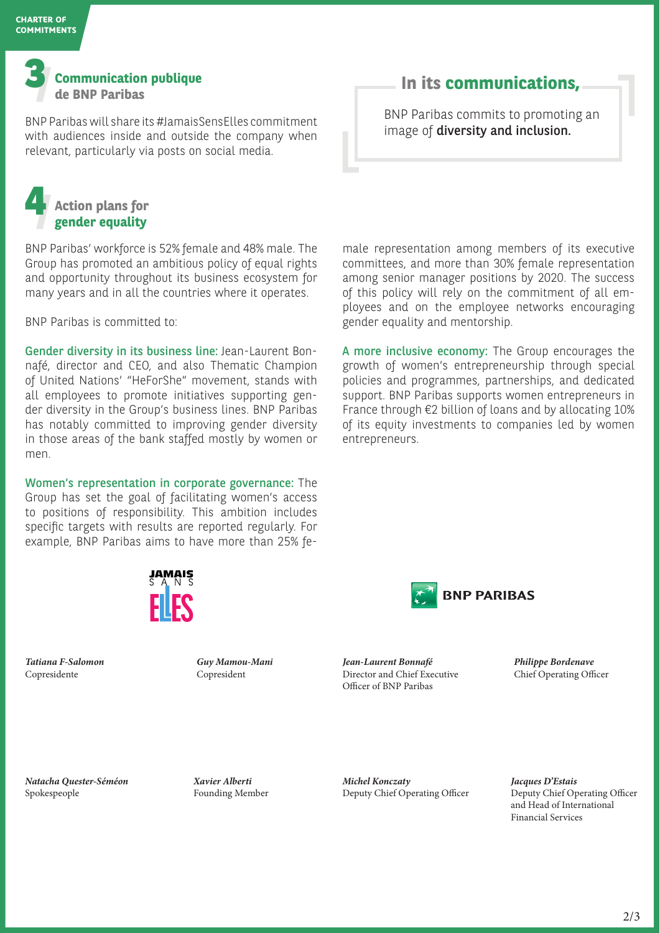

BNP Paribas will share its #JamaisSensElles commitment with audiences inside and outside the company when relevant, particularly via posts on social media.

## **In its communications,**

BNP Paribas commits to promoting an image of diversity and inclusion.

## **Action plans for gender equality 4**

BNP Paribas' workforce is 52% female and 48% male. The Group has promoted an ambitious policy of equal rights and opportunity throughout its business ecosystem for many years and in all the countries where it operates.

BNP Paribas is committed to:

Gender diversity in its business line: Jean-Laurent Bonnafé, director and CEO, and also Thematic Champion of United Nations' "HeForShe" movement, stands with all employees to promote initiatives supporting gender diversity in the Group's business lines. BNP Paribas has notably committed to improving gender diversity in those areas of the bank staffed mostly by women or men.

Women's representation in corporate governance: The Group has set the goal of facilitating women's access to positions of responsibility. This ambition includes specific targets with results are reported regularly. For example, BNP Paribas aims to have more than 25% fe-



*Tatiana F-Salomon* Copresidente

*Guy Mamou-Mani* Copresident



*Jean-Laurent Bonnafé* Director and Chief Executive Officer of BNP Paribas

*Philippe Bordenave* Chief Operating Officer

*Natacha Quester-Séméon* Spokespeople

*Xavier Alberti* Founding Member *Michel Konczaty*  Deputy Chief Operating Officer *Jacques D'Estais*  Deputy Chief Operating Officer and Head of International Financial Services

male representation among members of its executive committees, and more than 30% female representation among senior manager positions by 2020. The success of this policy will rely on the commitment of all employees and on the employee networks encouraging gender equality and mentorship.

A more inclusive economy: The Group encourages the growth of women's entrepreneurship through special policies and programmes, partnerships, and dedicated support. BNP Paribas supports women entrepreneurs in France through €2 billion of loans and by allocating 10% of its equity investments to companies led by women entrepreneurs.